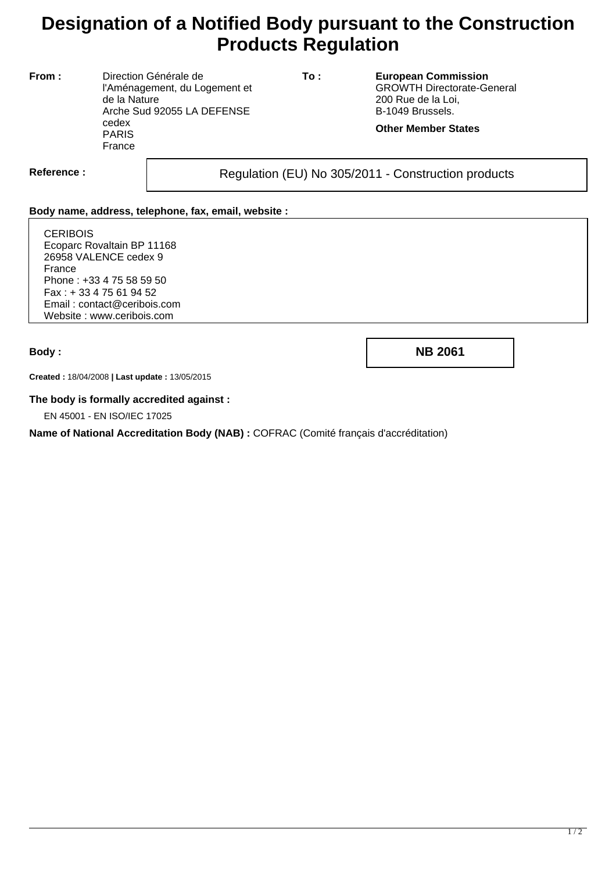## **Designation of a Notified Body pursuant to the Construction Products Regulation**

**From :** Direction Générale de l'Aménagement, du Logement et de la Nature Arche Sud 92055 LA DEFENSE cedex PARIS France

**To : European Commission** GROWTH Directorate-General 200 Rue de la Loi, B-1049 Brussels.

**Other Member States**

Reference : and **Regulation (EU) No 305/2011 - Construction products** 

## **Body name, address, telephone, fax, email, website :**

**CERIBOIS** Ecoparc Rovaltain BP 11168 26958 VALENCE cedex 9 France Phone : +33 4 75 58 59 50 Fax : + 33 4 75 61 94 52 Email : contact@ceribois.com Website : www.ceribois.com

**Body : NB 2061**

**Created :** 18/04/2008 **| Last update :** 13/05/2015

## **The body is formally accredited against :**

EN 45001 - EN ISO/IEC 17025

**Name of National Accreditation Body (NAB) :** COFRAC (Comité français d'accréditation)